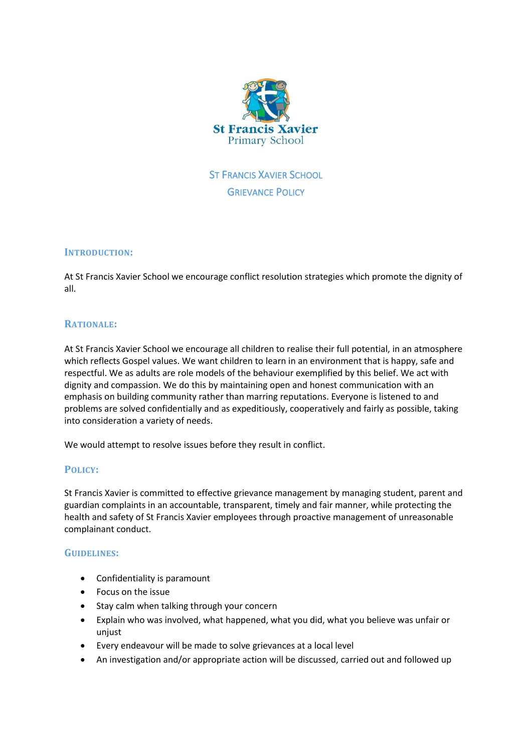

ST FRANCIS XAVIER SCHOOL **GRIEVANCE POLICY** 

#### **INTRODUCTION:**

At St Francis Xavier School we encourage conflict resolution strategies which promote the dignity of all.

# **RATIONALE:**

At St Francis Xavier School we encourage all children to realise their full potential, in an atmosphere which reflects Gospel values. We want children to learn in an environment that is happy, safe and respectful. We as adults are role models of the behaviour exemplified by this belief. We act with dignity and compassion. We do this by maintaining open and honest communication with an emphasis on building community rather than marring reputations. Everyone is listened to and problems are solved confidentially and as expeditiously, cooperatively and fairly as possible, taking into consideration a variety of needs.

We would attempt to resolve issues before they result in conflict.

# **POLICY:**

St Francis Xavier is committed to effective grievance management by managing student, parent and guardian complaints in an accountable, transparent, timely and fair manner, while protecting the health and safety of St Francis Xavier employees through proactive management of unreasonable complainant conduct.

# **GUIDELINES:**

- Confidentiality is paramount
- Focus on the issue
- Stay calm when talking through your concern
- Explain who was involved, what happened, what you did, what you believe was unfair or unjust
- Every endeavour will be made to solve grievances at a local level
- An investigation and/or appropriate action will be discussed, carried out and followed up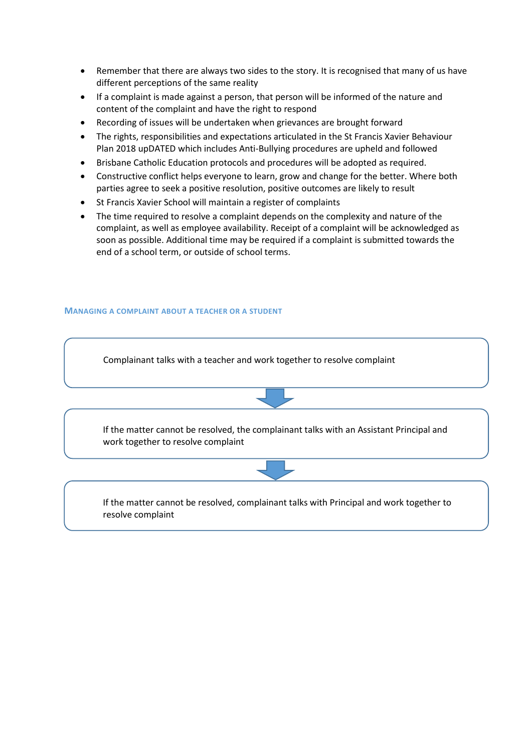- Remember that there are always two sides to the story. It is recognised that many of us have different perceptions of the same reality
- If a complaint is made against a person, that person will be informed of the nature and content of the complaint and have the right to respond
- Recording of issues will be undertaken when grievances are brought forward
- The rights, responsibilities and expectations articulated in the St Francis Xavier Behaviour Plan 2018 upDATED which includes Anti-Bullying procedures are upheld and followed
- Brisbane Catholic Education protocols and procedures will be adopted as required.
- Constructive conflict helps everyone to learn, grow and change for the better. Where both parties agree to seek a positive resolution, positive outcomes are likely to result
- St Francis Xavier School will maintain a register of complaints
- The time required to resolve a complaint depends on the complexity and nature of the complaint, as well as employee availability. Receipt of a complaint will be acknowledged as soon as possible. Additional time may be required if a complaint is submitted towards the end of a school term, or outside of school terms.

#### **MANAGING A COMPLAINT ABOUT A TEACHER OR A STUDENT**